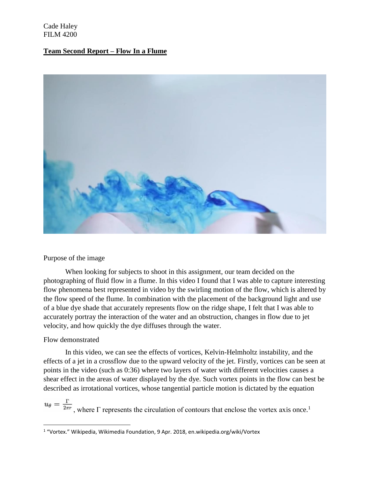Cade Haley FILM 4200

# **Team Second Report – Flow In a Flume**



### Purpose of the image

When looking for subjects to shoot in this assignment, our team decided on the photographing of fluid flow in a flume. In this video I found that I was able to capture interesting flow phenomena best represented in video by the swirling motion of the flow, which is altered by the flow speed of the flume. In combination with the placement of the background light and use of a blue dye shade that accurately represents flow on the ridge shape, I felt that I was able to accurately portray the interaction of the water and an obstruction, changes in flow due to jet velocity, and how quickly the dye diffuses through the water.

### Flow demonstrated

 $\overline{\phantom{a}}$ 

In this video, we can see the effects of vortices, Kelvin-Helmholtz instability, and the effects of a jet in a crossflow due to the upward velocity of the jet. Firstly, vortices can be seen at points in the video (such as 0:36) where two layers of water with different velocities causes a shear effect in the areas of water displayed by the dye. Such vortex points in the flow can best be described as irrotational vortices, whose tangential particle motion is dictated by the equation

 $u_{\theta} = \frac{\Gamma}{2\pi r}$ , where  $\Gamma$  represents the circulation of contours that enclose the vortex axis once.<sup>1</sup>

<sup>&</sup>lt;sup>1</sup> "Vortex." Wikipedia, Wikimedia Foundation, 9 Apr. 2018, en.wikipedia.org/wiki/Vortex